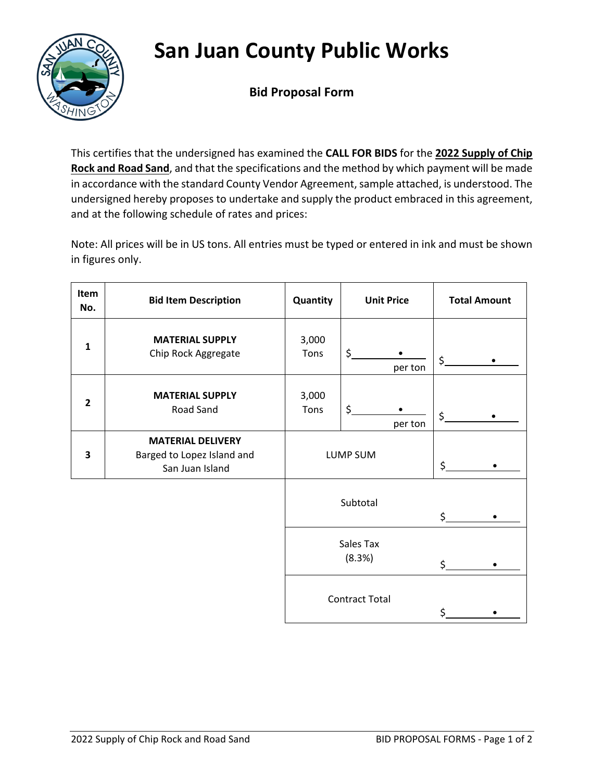## **San Juan County Public Works**



**Bid Proposal Form**

This certifies that the undersigned has examined the **CALL FOR BIDS** for the **2022 Supply of Chip Rock and Road Sand**, and that the specifications and the method by which payment will be made in accordance with the standard County Vendor Agreement, sample attached, is understood. The undersigned hereby proposes to undertake and supply the product embraced in this agreement, and at the following schedule of rates and prices:

Note: All prices will be in US tons. All entries must be typed or entered in ink and must be shown in figures only.

| Item<br>No.             | <b>Bid Item Description</b>                                               | Quantity              | <b>Unit Price</b> | <b>Total Amount</b> |
|-------------------------|---------------------------------------------------------------------------|-----------------------|-------------------|---------------------|
| 1                       | <b>MATERIAL SUPPLY</b><br>Chip Rock Aggregate                             | 3,000<br>Tons         | \$<br>per ton     | \$                  |
| $\overline{\mathbf{2}}$ | <b>MATERIAL SUPPLY</b><br>Road Sand                                       | 3,000<br>Tons         | \$<br>per ton     | \$                  |
| 3                       | <b>MATERIAL DELIVERY</b><br>Barged to Lopez Island and<br>San Juan Island |                       | LUMP SUM          | \$                  |
|                         |                                                                           |                       | Subtotal          | \$                  |
|                         | Sales Tax<br>(8.3%)                                                       |                       | \$                |                     |
|                         |                                                                           | <b>Contract Total</b> |                   | \$                  |